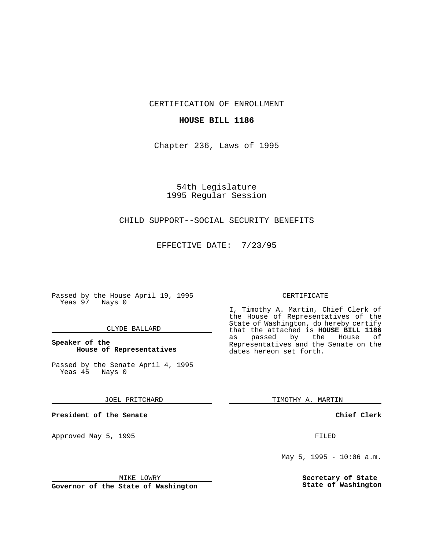CERTIFICATION OF ENROLLMENT

## **HOUSE BILL 1186**

Chapter 236, Laws of 1995

54th Legislature 1995 Regular Session

# CHILD SUPPORT--SOCIAL SECURITY BENEFITS

EFFECTIVE DATE: 7/23/95

Passed by the House April 19, 1995 Yeas 97 Nays 0

### CLYDE BALLARD

## **Speaker of the House of Representatives**

Passed by the Senate April 4, 1995<br>Yeas 45 Nays 0 Yeas 45

#### JOEL PRITCHARD

**President of the Senate**

Approved May 5, 1995 **FILED** 

#### MIKE LOWRY

**Governor of the State of Washington**

#### CERTIFICATE

I, Timothy A. Martin, Chief Clerk of the House of Representatives of the State of Washington, do hereby certify that the attached is **HOUSE BILL 1186** as passed by the House of Representatives and the Senate on the dates hereon set forth.

TIMOTHY A. MARTIN

### **Chief Clerk**

May 5, 1995 - 10:06 a.m.

**Secretary of State State of Washington**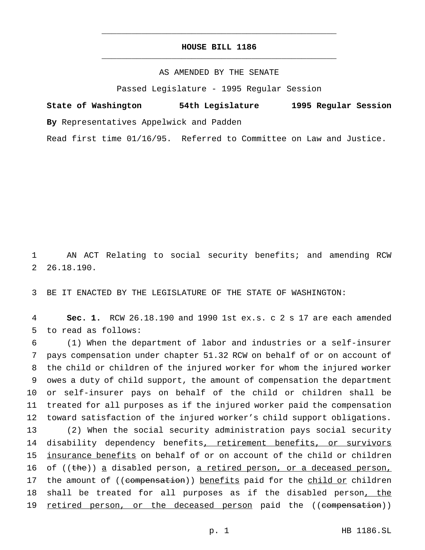# **HOUSE BILL 1186** \_\_\_\_\_\_\_\_\_\_\_\_\_\_\_\_\_\_\_\_\_\_\_\_\_\_\_\_\_\_\_\_\_\_\_\_\_\_\_\_\_\_\_\_\_\_\_

\_\_\_\_\_\_\_\_\_\_\_\_\_\_\_\_\_\_\_\_\_\_\_\_\_\_\_\_\_\_\_\_\_\_\_\_\_\_\_\_\_\_\_\_\_\_\_

## AS AMENDED BY THE SENATE

Passed Legislature - 1995 Regular Session

**State of Washington 54th Legislature 1995 Regular Session By** Representatives Appelwick and Padden

Read first time 01/16/95. Referred to Committee on Law and Justice.

1 AN ACT Relating to social security benefits; and amending RCW 2 26.18.190.

3 BE IT ENACTED BY THE LEGISLATURE OF THE STATE OF WASHINGTON:

4 **Sec. 1.** RCW 26.18.190 and 1990 1st ex.s. c 2 s 17 are each amended 5 to read as follows:

6 (1) When the department of labor and industries or a self-insurer 7 pays compensation under chapter 51.32 RCW on behalf of or on account of 8 the child or children of the injured worker for whom the injured worker 9 owes a duty of child support, the amount of compensation the department 10 or self-insurer pays on behalf of the child or children shall be 11 treated for all purposes as if the injured worker paid the compensation 12 toward satisfaction of the injured worker's child support obligations. 13 (2) When the social security administration pays social security 14 disability dependency benefits, retirement benefits, or survivors 15 insurance benefits on behalf of or on account of the child or children 16 of ((the)) a disabled person, a retired person, or a deceased person, 17 the amount of ((compensation)) benefits paid for the child or children 18 shall be treated for all purposes as if the disabled person, the 19 retired person, or the deceased person paid the ((compensation))